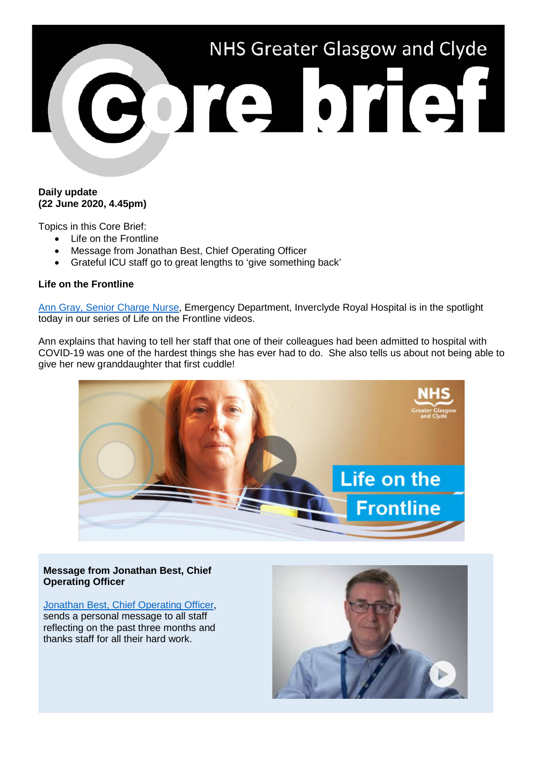

#### **Daily update (22 June 2020, 4.45pm)**

Topics in this Core Brief:

- Life on the Frontline
- Message from Jonathan Best, Chief Operating Officer
- Grateful ICU staff go to great lengths to 'give something back'

## **Life on the Frontline**

[Ann Gray, Senior Charge Nurse,](https://www.youtube.com/watch?v=-yMGyK1pP5I) Emergency Department, Inverclyde Royal Hospital is in the spotlight today in our series of Life on the Frontline videos.

Ann explains that having to tell her staff that one of their colleagues had been admitted to hospital with COVID-19 was one of the hardest things she has ever had to do. She also tells us about not being able to give her new granddaughter that first cuddle!



## **Message from Jonathan Best, Chief Operating Officer**

Jonathan Best, Chief Operating Officer. sends a personal message to all staff reflecting on the past three months and thanks staff for all their hard work.